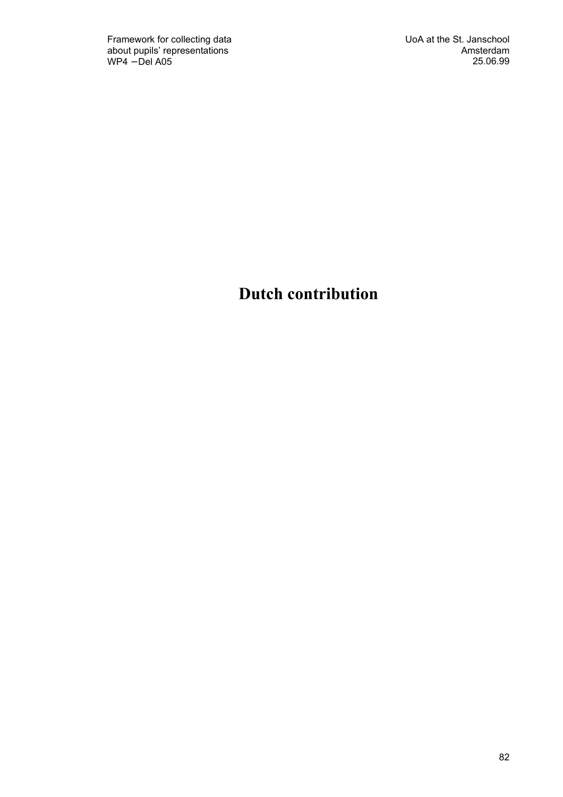Dutch contribution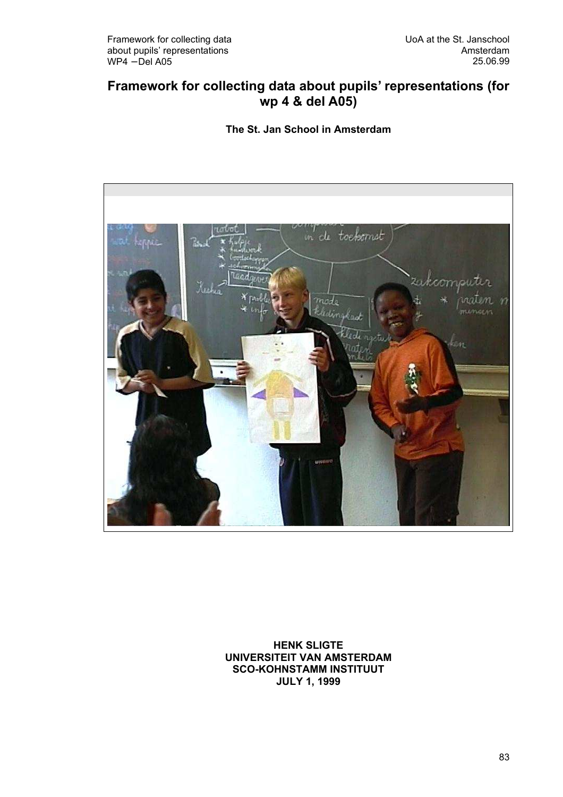# Framework for collecting data about pupils' representations (for  $wp$  4 & del A05)

The St. Jan School in Amsterdam



HENK SLIGTE UNIVERSITEIT VAN AMSTERDAM SCO-KOHNSTAMM INSTITUUT JULY 1, 1999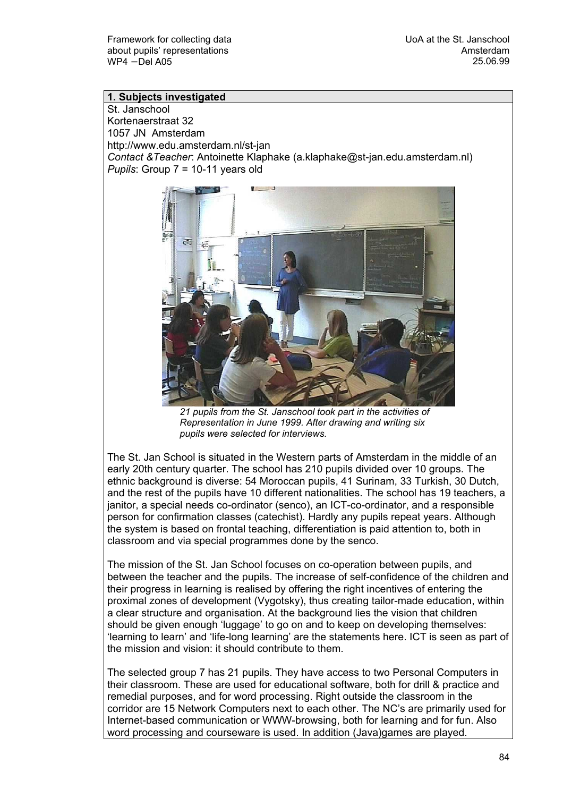### 1. Subjects investigated

St. Janschool Kortenaerstraat 32 1057 JN Amsterdam http://www.edu.amsterdam.nl/st-jan Contact &Teacher: Antoinette Klaphake (a.klaphake@st-jan.edu.amsterdam.nl) Pupils: Group 7 = 10-11 years old



21 pupils from the St. Janschool took part in the activities of Representation in June 1999. After drawing and writing six pupils were selected for interviews.

The St. Jan School is situated in the Western parts of Amsterdam in the middle of an early 20th century quarter. The school has 210 pupils divided over 10 groups. The ethnic background is diverse: 54 Moroccan pupils, 41 Surinam, 33 Turkish, 30 Dutch, and the rest of the pupils have 10 different nationalities. The school has 19 teachers, a janitor, a special needs co-ordinator (senco), an ICT-co-ordinator, and a responsible person for confirmation classes (catechist). Hardly any pupils repeat years. Although the system is based on frontal teaching, differentiation is paid attention to, both in classroom and via special programmes done by the senco.

The mission of the St. Jan School focuses on co-operation between pupils, and between the teacher and the pupils. The increase of self-confidence of the children and their progress in learning is realised by offering the right incentives of entering the proximal zones of development (Vygotsky), thus creating tailor-made education, within a clear structure and organisation. At the background lies the vision that children should be given enough 'luggage' to go on and to keep on developing themselves: 'learning to learn' and 'life-long learning' are the statements here. ICT is seen as part of the mission and vision: it should contribute to them.

The selected group 7 has 21 pupils. They have access to two Personal Computers in their classroom. These are used for educational software, both for drill & practice and remedial purposes, and for word processing. Right outside the classroom in the corridor are 15 Network Computers next to each other. The NC's are primarily used for Internet-based communication or WWW-browsing, both for learning and for fun. Also word processing and courseware is used. In addition (Java)games are played.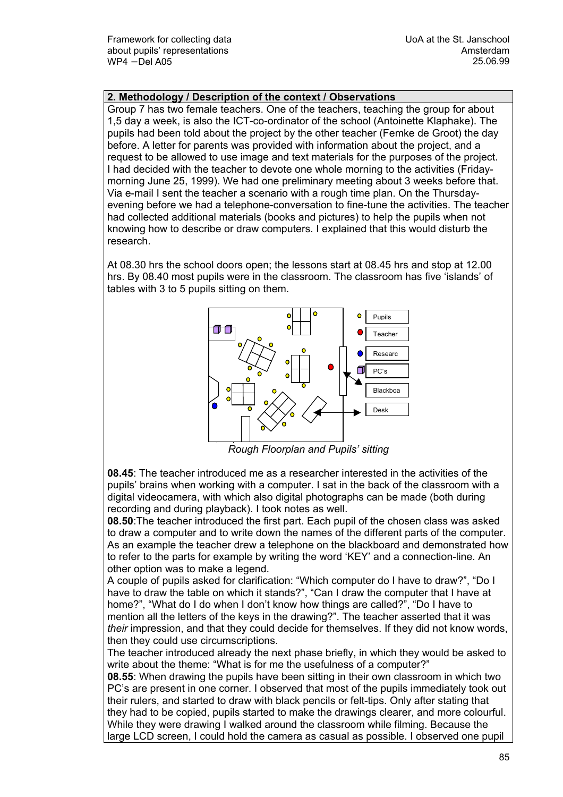## 2. Methodology / Description of the context / Observations

Group 7 has two female teachers. One of the teachers, teaching the group for about 1,5 day a week, is also the ICT-co-ordinator of the school (Antoinette Klaphake). The pupils had been told about the project by the other teacher (Femke de Groot) the day before. A letter for parents was provided with information about the project, and a request to be allowed to use image and text materials for the purposes of the project. I had decided with the teacher to devote one whole morning to the activities (Fridaymorning June 25, 1999). We had one preliminary meeting about 3 weeks before that. Via e-mail I sent the teacher a scenario with a rough time plan. On the Thursdayevening before we had a telephone-conversation to fine-tune the activities. The teacher had collected additional materials (books and pictures) to help the pupils when not knowing how to describe or draw computers. I explained that this would disturb the research.

At 08.30 hrs the school doors open; the lessons start at 08.45 hrs and stop at 12.00 hrs. By 08.40 most pupils were in the classroom. The classroom has five 'islands' of tables with 3 to 5 pupils sitting on them.



Rough Floorplan and Pupils' sitting

08.45: The teacher introduced me as a researcher interested in the activities of the pupils' brains when working with a computer. I sat in the back of the classroom with a digital videocamera, with which also digital photographs can be made (both during recording and during playback). I took notes as well.

08.50:The teacher introduced the first part. Each pupil of the chosen class was asked to draw a computer and to write down the names of the different parts of the computer. As an example the teacher drew a telephone on the blackboard and demonstrated how to refer to the parts for example by writing the word 'KEY' and a connection-line. An other option was to make a legend.

A couple of pupils asked for clarification: "Which computer do I have to draw?", "Do I have to draw the table on which it stands?", "Can I draw the computer that I have at home?", "What do I do when I don't know how things are called?", "Do I have to mention all the letters of the keys in the drawing?". The teacher asserted that it was their impression, and that they could decide for themselves. If they did not know words, then they could use circumscriptions.

The teacher introduced already the next phase briefly, in which they would be asked to write about the theme: "What is for me the usefulness of a computer?"

08.55: When drawing the pupils have been sitting in their own classroom in which two PC's are present in one corner. I observed that most of the pupils immediately took out their rulers, and started to draw with black pencils or felt-tips. Only after stating that they had to be copied, pupils started to make the drawings clearer, and more colourful. While they were drawing I walked around the classroom while filming. Because the large LCD screen, I could hold the camera as casual as possible. I observed one pupil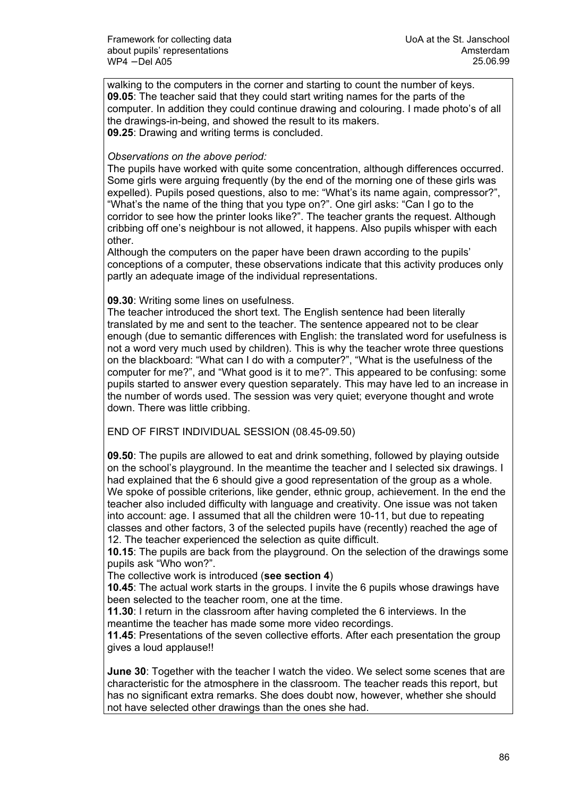walking to the computers in the corner and starting to count the number of keys. 09.05: The teacher said that they could start writing names for the parts of the computer. In addition they could continue drawing and colouring. I made photo's of all the drawings-in-being, and showed the result to its makers. 09.25: Drawing and writing terms is concluded.

### Observations on the above period:

The pupils have worked with quite some concentration, although differences occurred. Some girls were arguing frequently (by the end of the morning one of these girls was expelled). Pupils posed questions, also to me: "What's its name again, compressor?", "What's the name of the thing that you type on?". One girl asks: "Can I go to the corridor to see how the printer looks like?". The teacher grants the request. Although cribbing off one's neighbour is not allowed, it happens. Also pupils whisper with each other.

Although the computers on the paper have been drawn according to the pupils' conceptions of a computer, these observations indicate that this activity produces only partly an adequate image of the individual representations.

### 09.30: Writing some lines on usefulness.

The teacher introduced the short text. The English sentence had been literally translated by me and sent to the teacher. The sentence appeared not to be clear enough (due to semantic differences with English: the translated word for usefulness is not a word very much used by children). This is why the teacher wrote three questions on the blackboard: "What can I do with a computer?", "What is the usefulness of the computer for me?", and "What good is it to me?". This appeared to be confusing: some pupils started to answer every question separately. This may have led to an increase in the number of words used. The session was very quiet; everyone thought and wrote down. There was little cribbing.

END OF FIRST INDIVIDUAL SESSION (08.45-09.50)

09.50: The pupils are allowed to eat and drink something, followed by playing outside on the school's playground. In the meantime the teacher and I selected six drawings. I had explained that the 6 should give a good representation of the group as a whole. We spoke of possible criterions, like gender, ethnic group, achievement. In the end the teacher also included difficulty with language and creativity. One issue was not taken into account: age. I assumed that all the children were 10-11, but due to repeating classes and other factors, 3 of the selected pupils have (recently) reached the age of 12. The teacher experienced the selection as quite difficult.

10.15: The pupils are back from the playground. On the selection of the drawings some pupils ask "Who won?".

The collective work is introduced (see section 4)

10.45: The actual work starts in the groups. I invite the 6 pupils whose drawings have been selected to the teacher room, one at the time.

11.30: I return in the classroom after having completed the 6 interviews. In the meantime the teacher has made some more video recordings.

11.45: Presentations of the seven collective efforts. After each presentation the group gives a loud applause!!

June 30: Together with the teacher I watch the video. We select some scenes that are characteristic for the atmosphere in the classroom. The teacher reads this report, but has no significant extra remarks. She does doubt now, however, whether she should not have selected other drawings than the ones she had.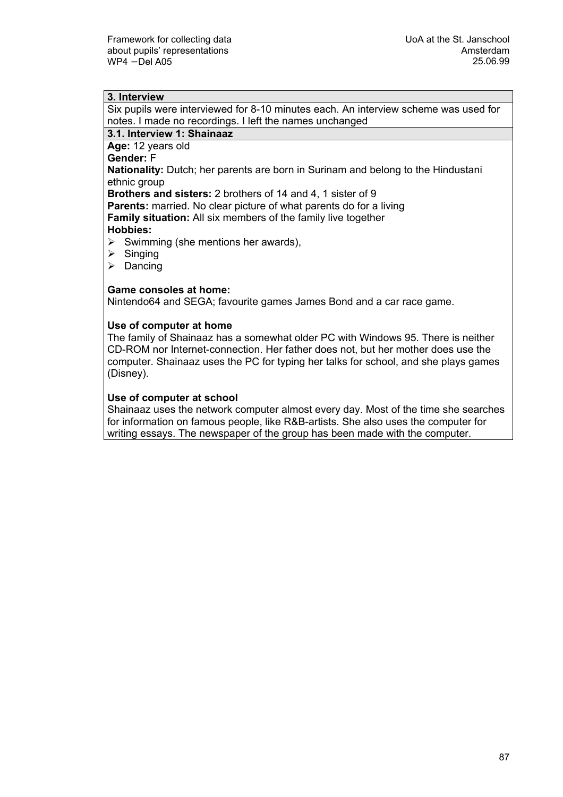#### 3. Interview

Six pupils were interviewed for 8-10 minutes each. An interview scheme was used for notes. I made no recordings. I left the names unchanged

### 3.1. Interview 1: Shainaaz

# Age: 12 years old

# Gender: F

Nationality: Dutch; her parents are born in Surinam and belong to the Hindustani ethnic group

Brothers and sisters: 2 brothers of 14 and 4, 1 sister of 9

Parents: married. No clear picture of what parents do for a living Family situation: All six members of the family live together

#### Hobbies:

- $\triangleright$  Swimming (she mentions her awards),
- $\triangleright$  Singing
- $\triangleright$  Dancing

### Game consoles at home:

Nintendo64 and SEGA; favourite games James Bond and a car race game.

#### Use of computer at home

The family of Shainaaz has a somewhat older PC with Windows 95. There is neither CD-ROM nor Internet-connection. Her father does not, but her mother does use the computer. Shainaaz uses the PC for typing her talks for school, and she plays games (Disney).

#### Use of computer at school

Shainaaz uses the network computer almost every day. Most of the time she searches for information on famous people, like R&B-artists. She also uses the computer for writing essays. The newspaper of the group has been made with the computer.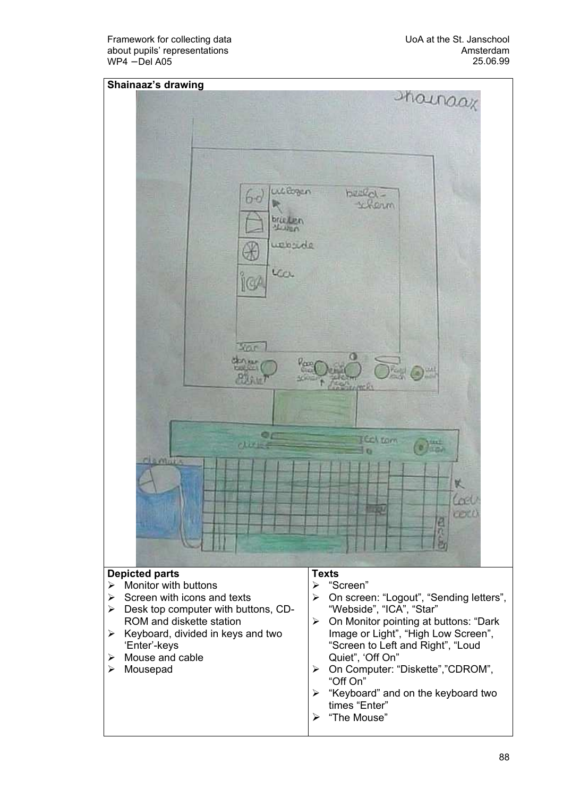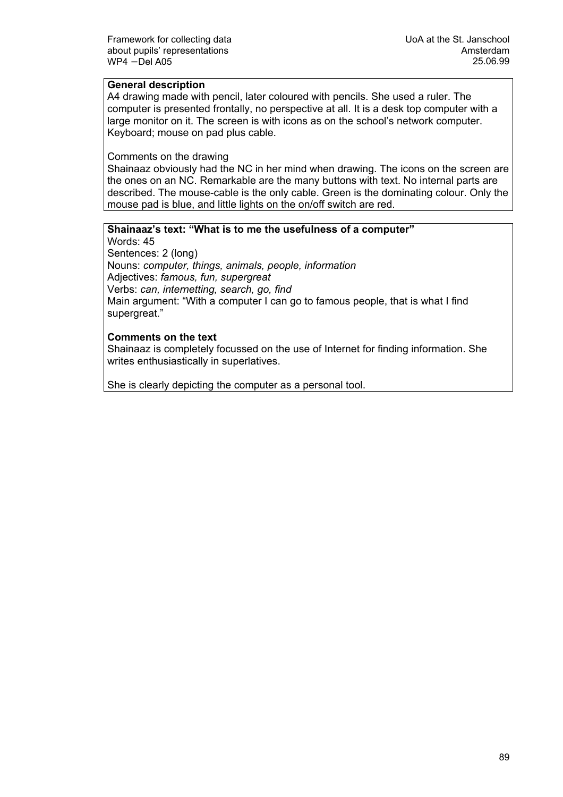### General description

A4 drawing made with pencil, later coloured with pencils. She used a ruler. The computer is presented frontally, no perspective at all. It is a desk top computer with a large monitor on it. The screen is with icons as on the school's network computer. Keyboard; mouse on pad plus cable.

#### Comments on the drawing

Shainaaz obviously had the NC in her mind when drawing. The icons on the screen are the ones on an NC. Remarkable are the many buttons with text. No internal parts are described. The mouse-cable is the only cable. Green is the dominating colour. Only the mouse pad is blue, and little lights on the on/off switch are red.

#### Shainaaz's text: "What is to me the usefulness of a computer"

Words: 45 Sentences: 2 (long) Nouns: computer, things, animals, people, information Adjectives: famous, fun, supergreat Verbs: can, internetting, search, go, find Main argument: "With a computer I can go to famous people, that is what I find supergreat."

#### Comments on the text

Shainaaz is completely focussed on the use of Internet for finding information. She writes enthusiastically in superlatives.

She is clearly depicting the computer as a personal tool.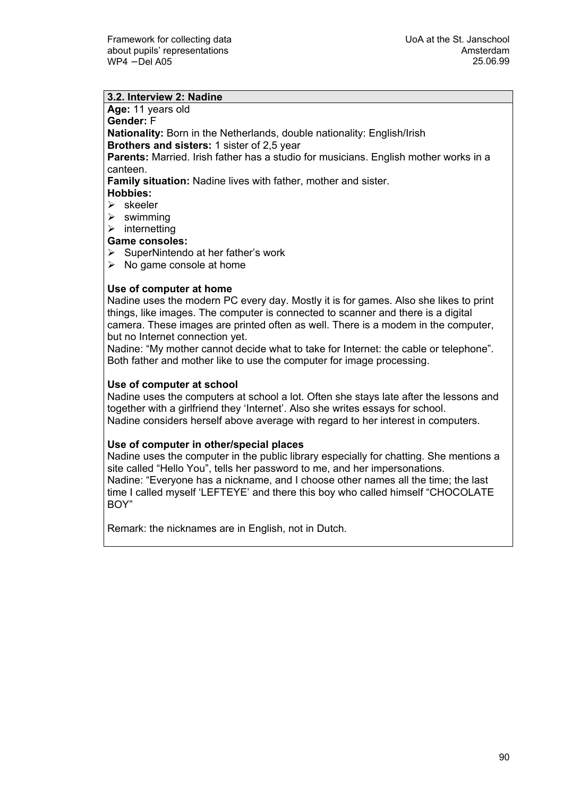### 3.2. Interview 2: Nadine

# Age: 11 years old

Gender: F

Nationality: Born in the Netherlands, double nationality: English/Irish

Brothers and sisters: 1 sister of 2,5 year

Parents: Married. Irish father has a studio for musicians. English mother works in a canteen.

Family situation: Nadine lives with father, mother and sister.

Hobbies:

- $\triangleright$  skeeler
- $\triangleright$  swimming
- $\triangleright$  internetting

### Game consoles:

- $\triangleright$  SuperNintendo at her father's work
- $\triangleright$  No game console at home

### Use of computer at home

Nadine uses the modern PC every day. Mostly it is for games. Also she likes to print things, like images. The computer is connected to scanner and there is a digital camera. These images are printed often as well. There is a modem in the computer, but no Internet connection yet.

Nadine: "My mother cannot decide what to take for Internet: the cable or telephone". Both father and mother like to use the computer for image processing.

### Use of computer at school

Nadine uses the computers at school a lot. Often she stays late after the lessons and together with a girlfriend they 'Internet'. Also she writes essays for school. Nadine considers herself above average with regard to her interest in computers.

### Use of computer in other/special places

Nadine uses the computer in the public library especially for chatting. She mentions a site called "Hello You", tells her password to me, and her impersonations. Nadine: "Everyone has a nickname, and I choose other names all the time; the last time I called myself 'LEFTEYE' and there this boy who called himself "CHOCOLATE BOY"

Remark: the nicknames are in English, not in Dutch.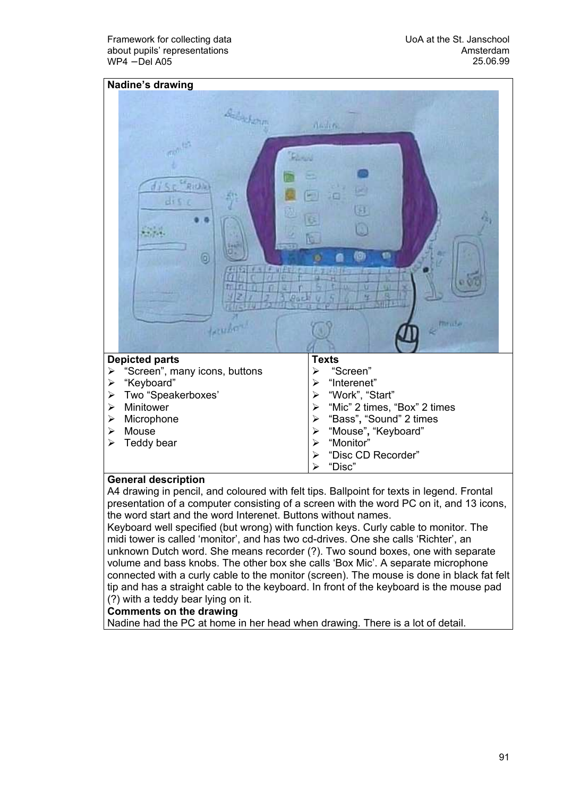

A4 drawing in pencil, and coloured with felt tips. Ballpoint for texts in legend. Frontal presentation of a computer consisting of a screen with the word PC on it, and 13 icons, the word start and the word Interenet. Buttons without names.

Keyboard well specified (but wrong) with function keys. Curly cable to monitor. The midi tower is called 'monitor', and has two cd-drives. One she calls 'Richter', an unknown Dutch word. She means recorder (?). Two sound boxes, one with separate volume and bass knobs. The other box she calls 'Box Mic'. A separate microphone connected with a curly cable to the monitor (screen). The mouse is done in black fat felt tip and has a straight cable to the keyboard. In front of the keyboard is the mouse pad (?) with a teddy bear lying on it.

#### Comments on the drawing

Nadine had the PC at home in her head when drawing. There is a lot of detail.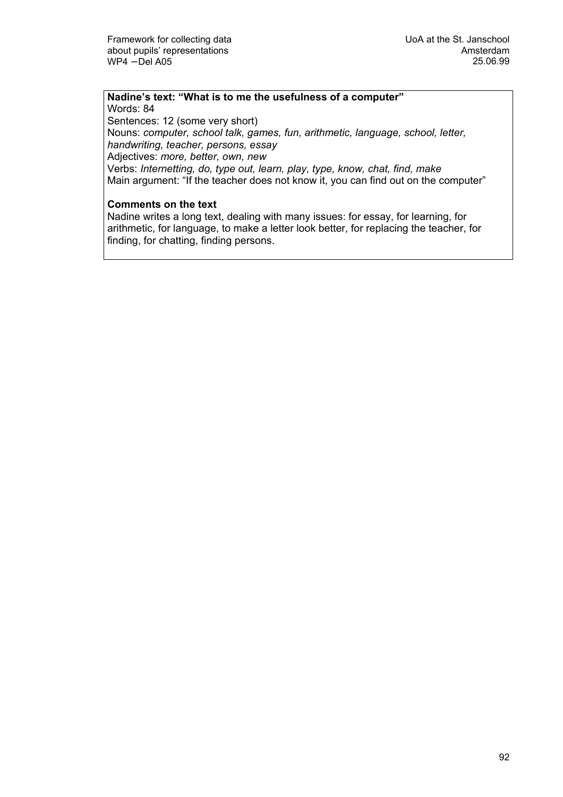#### Nadine's text: "What is to me the usefulness of a computer"

Words: 84 Sentences: 12 (some very short) Nouns: computer, school talk, games, fun, arithmetic, language, school, letter, handwriting, teacher, persons, essay Adjectives: more, better, own, new Verbs: Internetting, do, type out, learn, play, type, know, chat, find, make Main argument: "If the teacher does not know it, you can find out on the computer"

### Comments on the text

Nadine writes a long text, dealing with many issues: for essay, for learning, for arithmetic, for language, to make a letter look better, for replacing the teacher, for finding, for chatting, finding persons.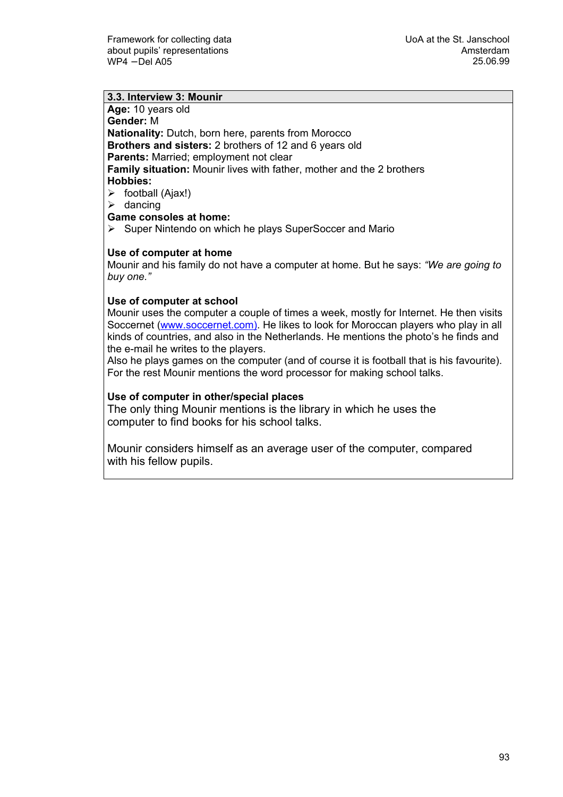### 3.3. Interview 3: Mounir

Age: 10 years old Gender: M Nationality: Dutch, born here, parents from Morocco Brothers and sisters: 2 brothers of 12 and 6 years old Parents: Married; employment not clear Family situation: Mounir lives with father, mother and the 2 brothers Hobbies:

football (Ajax!)

 $\triangleright$  dancing

### Game consoles at home:

 $\triangleright$  Super Nintendo on which he plays SuperSoccer and Mario

### Use of computer at home

Mounir and his family do not have a computer at home. But he says: "We are going to buy one."

### Use of computer at school

Mounir uses the computer a couple of times a week, mostly for Internet. He then visits Soccernet (www.soccernet.com). He likes to look for Moroccan players who play in all kinds of countries, and also in the Netherlands. He mentions the photo's he finds and the e-mail he writes to the players.

Also he plays games on the computer (and of course it is football that is his favourite). For the rest Mounir mentions the word processor for making school talks.

### Use of computer in other/special places

The only thing Mounir mentions is the library in which he uses the computer to find books for his school talks.

Mounir considers himself as an average user of the computer, compared with his fellow pupils.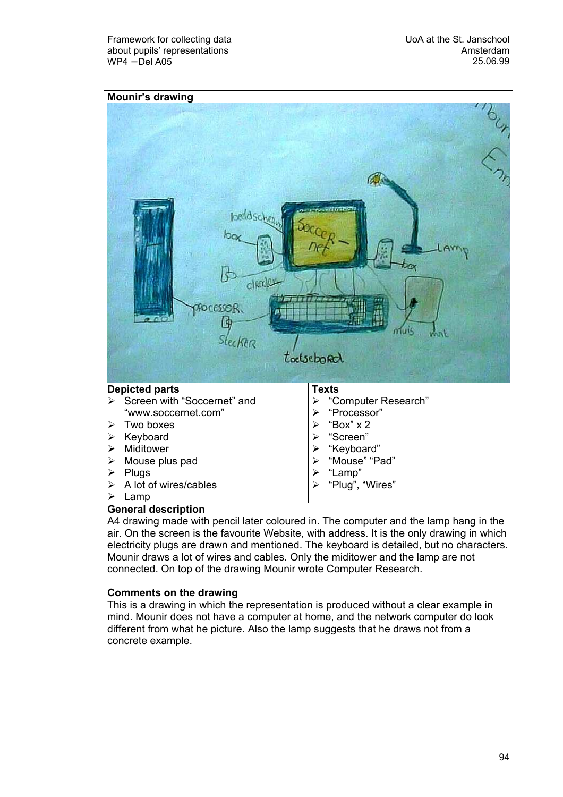

A4 drawing made with pencil later coloured in. The computer and the lamp hang in the air. On the screen is the favourite Website, with address. It is the only drawing in which electricity plugs are drawn and mentioned. The keyboard is detailed, but no characters. Mounir draws a lot of wires and cables. Only the miditower and the lamp are not connected. On top of the drawing Mounir wrote Computer Research.

#### Comments on the drawing

This is a drawing in which the representation is produced without a clear example in mind. Mounir does not have a computer at home, and the network computer do look different from what he picture. Also the lamp suggests that he draws not from a concrete example.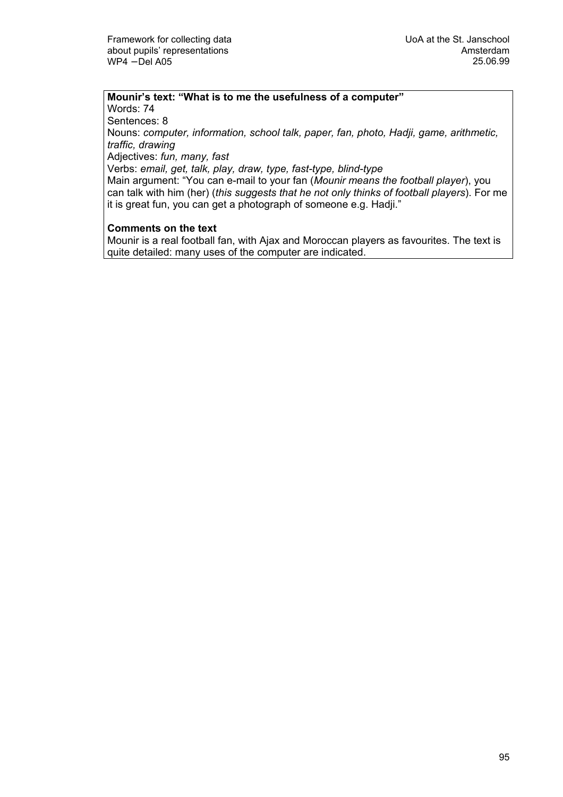#### Mounir's text: "What is to me the usefulness of a computer"

Words: 74

Sentences: 8

Nouns: computer, information, school talk, paper, fan, photo, Hadji, game, arithmetic, traffic, drawing

Adjectives: fun, many, fast

Verbs: email, get, talk, play, draw, type, fast-type, blind-type

Main argument: "You can e-mail to your fan (Mounir means the football player), you can talk with him (her) (this suggests that he not only thinks of football players). For me it is great fun, you can get a photograph of someone e.g. Hadji."

### Comments on the text

Mounir is a real football fan, with Ajax and Moroccan players as favourites. The text is quite detailed: many uses of the computer are indicated.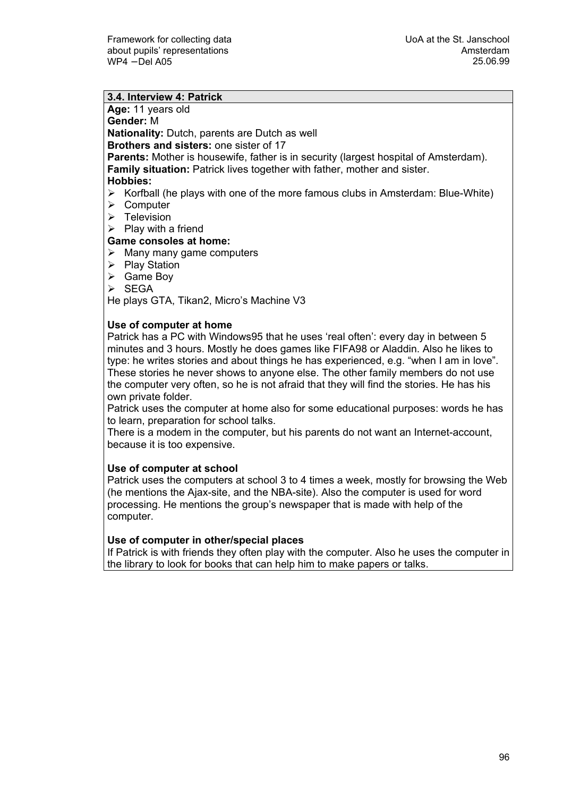### 3.4. Interview 4: Patrick

Age: 11 years old

Gender: M

Nationality: Dutch, parents are Dutch as well

Brothers and sisters: one sister of 17

Parents: Mother is housewife, father is in security (largest hospital of Amsterdam). Family situation: Patrick lives together with father, mother and sister.

### Hobbies:

 $\triangleright$  Korfball (he plays with one of the more famous clubs in Amsterdam: Blue-White)

- $\triangleright$  Computer
- $\triangleright$  Television
- $\triangleright$  Play with a friend

## Game consoles at home:

- $\triangleright$  Many many game computers
- $\triangleright$  Play Station
- $\triangleright$  Game Bov
- $\triangleright$  SEGA

He plays GTA, Tikan2, Micro's Machine V3

## Use of computer at home

Patrick has a PC with Windows95 that he uses 'real often': every day in between 5 minutes and 3 hours. Mostly he does games like FIFA98 or Aladdin. Also he likes to type: he writes stories and about things he has experienced, e.g. "when I am in love". These stories he never shows to anyone else. The other family members do not use the computer very often, so he is not afraid that they will find the stories. He has his own private folder.

Patrick uses the computer at home also for some educational purposes: words he has to learn, preparation for school talks.

There is a modem in the computer, but his parents do not want an Internet-account, because it is too expensive.

### Use of computer at school

Patrick uses the computers at school 3 to 4 times a week, mostly for browsing the Web (he mentions the Ajax-site, and the NBA-site). Also the computer is used for word processing. He mentions the group's newspaper that is made with help of the computer.

### Use of computer in other/special places

If Patrick is with friends they often play with the computer. Also he uses the computer in the library to look for books that can help him to make papers or talks.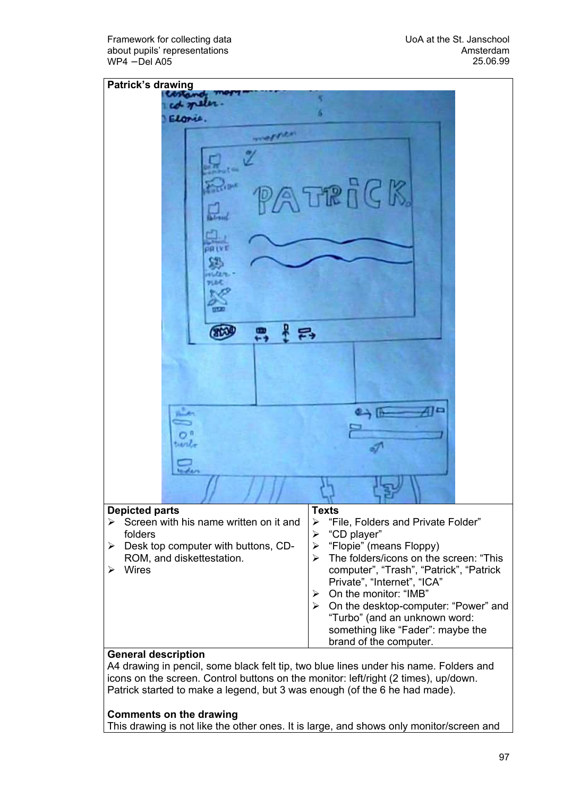

#### Comments on the drawing

This drawing is not like the other ones. It is large, and shows only monitor/screen and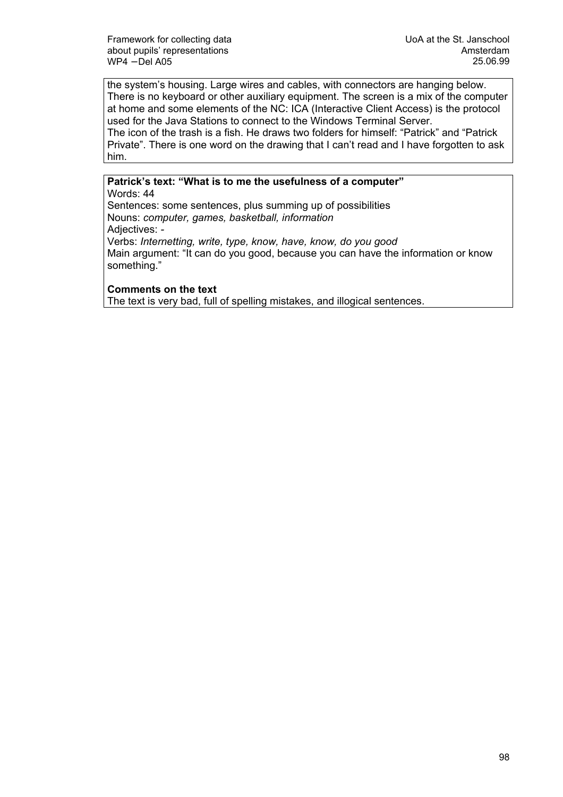the system's housing. Large wires and cables, with connectors are hanging below. There is no keyboard or other auxiliary equipment. The screen is a mix of the computer at home and some elements of the NC: ICA (Interactive Client Access) is the protocol used for the Java Stations to connect to the Windows Terminal Server.

The icon of the trash is a fish. He draws two folders for himself: "Patrick" and "Patrick Private". There is one word on the drawing that I can't read and I have forgotten to ask him.

# Patrick's text: "What is to me the usefulness of a computer"

Words: 44

Sentences: some sentences, plus summing up of possibilities Nouns: computer, games, basketball, information Adjectives: - Verbs: Internetting, write, type, know, have, know, do you good Main argument: "It can do you good, because you can have the information or know something."

Comments on the text The text is very bad, full of spelling mistakes, and illogical sentences.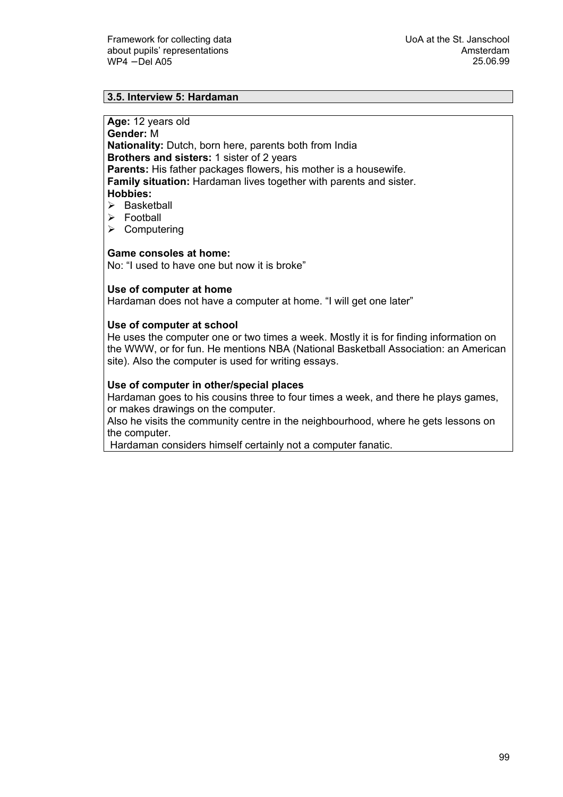### 3.5. Interview 5: Hardaman

Age: 12 years old Gender: M Nationality: Dutch, born here, parents both from India Brothers and sisters: 1 sister of 2 years Parents: His father packages flowers, his mother is a housewife. Family situation: Hardaman lives together with parents and sister. Hobbies:

- $\triangleright$  Basketball
- > Football
- $\triangleright$  Computering

#### Game consoles at home:

No: "I used to have one but now it is broke"

#### Use of computer at home

Hardaman does not have a computer at home. "I will get one later"

#### Use of computer at school

He uses the computer one or two times a week. Mostly it is for finding information on the WWW, or for fun. He mentions NBA (National Basketball Association: an American site). Also the computer is used for writing essays.

#### Use of computer in other/special places

Hardaman goes to his cousins three to four times a week, and there he plays games, or makes drawings on the computer.

Also he visits the community centre in the neighbourhood, where he gets lessons on the computer.

Hardaman considers himself certainly not a computer fanatic.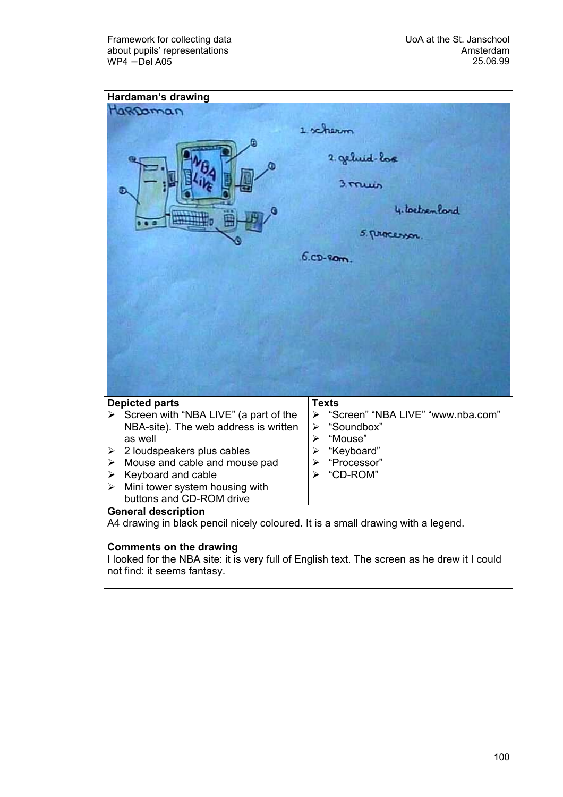| Hardaman's drawing                                                                                                                                                                                                                                                                                        |                                                                                                                       |  |  |
|-----------------------------------------------------------------------------------------------------------------------------------------------------------------------------------------------------------------------------------------------------------------------------------------------------------|-----------------------------------------------------------------------------------------------------------------------|--|--|
| Happaman                                                                                                                                                                                                                                                                                                  |                                                                                                                       |  |  |
| 1 scherm<br>2. gebuid-loo<br>4. loetsen lord<br>5. processor<br>$6.$ CD-80 $or$                                                                                                                                                                                                                           |                                                                                                                       |  |  |
|                                                                                                                                                                                                                                                                                                           |                                                                                                                       |  |  |
| <b>Depicted parts</b>                                                                                                                                                                                                                                                                                     | <b>Texts</b>                                                                                                          |  |  |
| Screen with "NBA LIVE" (a part of the<br>≻<br>NBA-site). The web address is written<br>as well<br>2 loudspeakers plus cables<br>≻<br>$\triangleright$ Mouse and cable and mouse pad<br>$\triangleright$ Keyboard and cable<br>$\triangleright$ Mini tower system housing with<br>buttons and CD-ROM drive | "Screen" "NBA LIVE" "www.nba.com"<br>↘<br>> "Soundbox"<br>> "Mouse"<br>> "Keyboard"<br>> "Processor"<br>"CD-ROM"<br>➤ |  |  |
| <b>General description</b>                                                                                                                                                                                                                                                                                |                                                                                                                       |  |  |
| A4 drawing in black pencil nicely coloured. It is a small drawing with a legend.                                                                                                                                                                                                                          |                                                                                                                       |  |  |
| <b>Comments on the drawing</b>                                                                                                                                                                                                                                                                            |                                                                                                                       |  |  |

I looked for the NBA site: it is very full of English text. The screen as he drew it I could not find: it seems fantasy.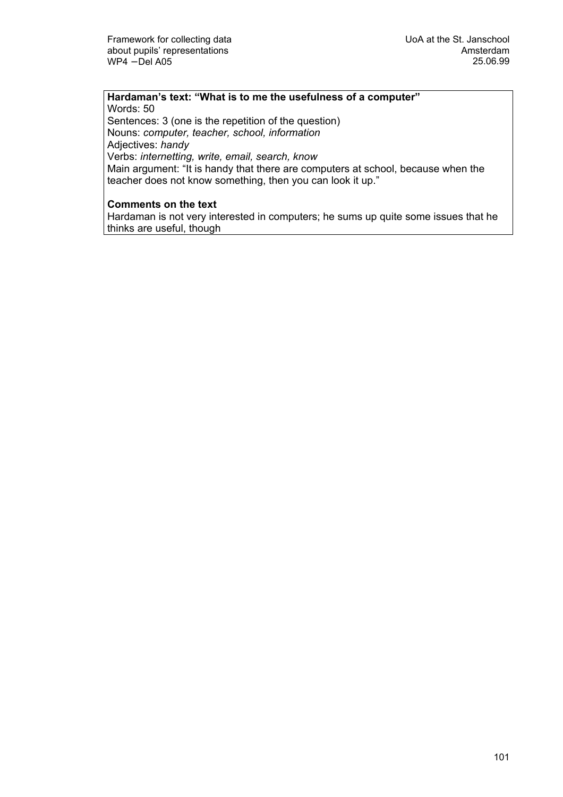#### Hardaman's text: "What is to me the usefulness of a computer"

Words: 50

Sentences: 3 (one is the repetition of the question) Nouns: computer, teacher, school, information

Adjectives: handy

Verbs: internetting, write, email, search, know Main argument: "It is handy that there are computers at school, because when the teacher does not know something, then you can look it up."

### Comments on the text

Hardaman is not very interested in computers; he sums up quite some issues that he thinks are useful, though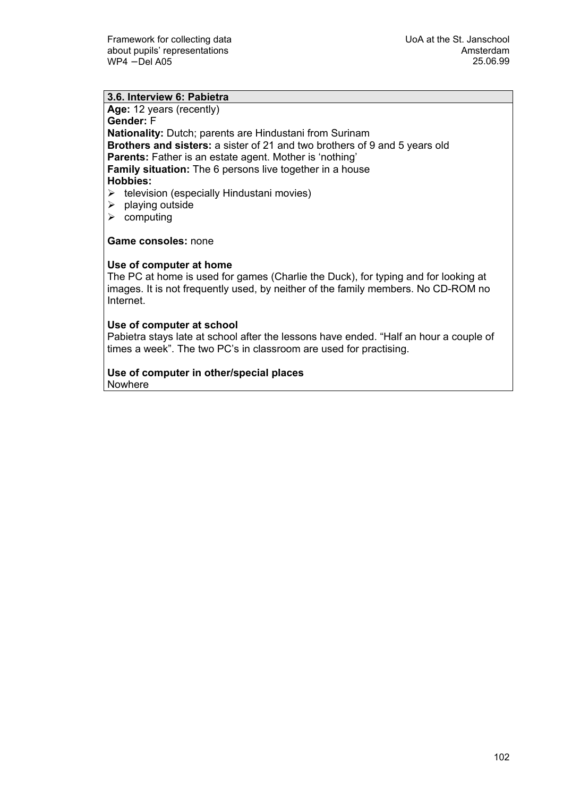### 3.6. Interview 6: Pabietra

Age: 12 years (recently) Gender: F

Nationality: Dutch; parents are Hindustani from Surinam Brothers and sisters: a sister of 21 and two brothers of 9 and 5 years old Parents: Father is an estate agent. Mother is 'nothing' Family situation: The 6 persons live together in a house Hobbies:

- $\triangleright$  television (especially Hindustani movies)
- $\triangleright$  playing outside
- $\triangleright$  computing

Game consoles: none

#### Use of computer at home

The PC at home is used for games (Charlie the Duck), for typing and for looking at images. It is not frequently used, by neither of the family members. No CD-ROM no Internet.

#### Use of computer at school

Pabietra stays late at school after the lessons have ended. "Half an hour a couple of times a week". The two PC's in classroom are used for practising.

#### Use of computer in other/special places Nowhere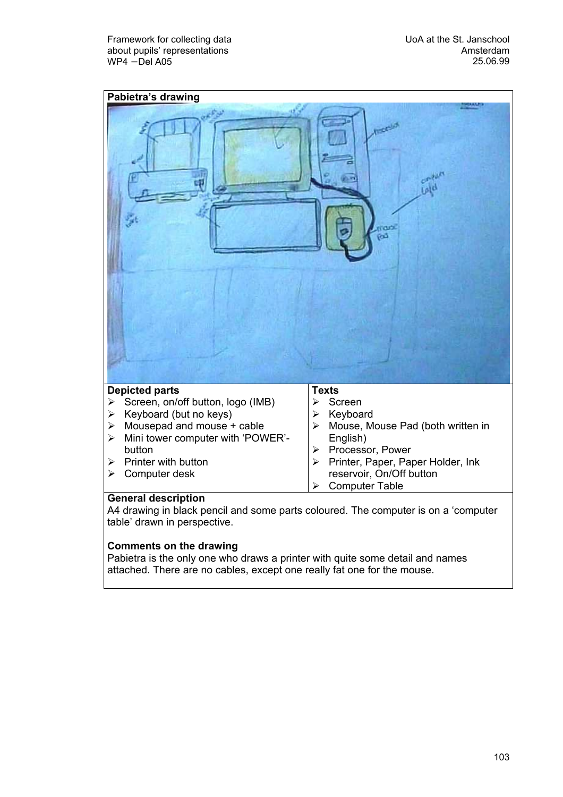

A4 drawing in black pencil and some parts coloured. The computer is on a 'computer table' drawn in perspective.

#### Comments on the drawing

Pabietra is the only one who draws a printer with quite some detail and names attached. There are no cables, except one really fat one for the mouse.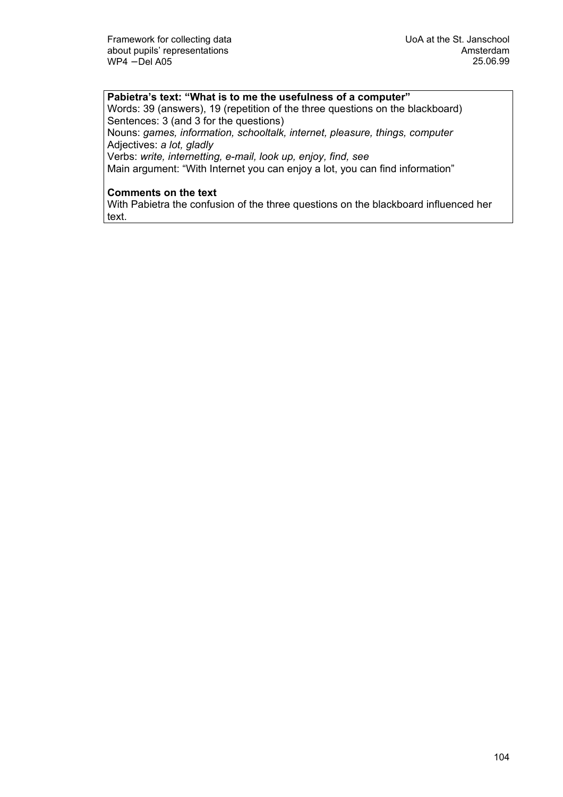#### Pabietra's text: "What is to me the usefulness of a computer"

Words: 39 (answers), 19 (repetition of the three questions on the blackboard) Sentences: 3 (and 3 for the questions)

Nouns: games, information, schooltalk, internet, pleasure, things, computer Adjectives: a lot, gladly

Verbs: write, internetting, e-mail, look up, enjoy, find, see

Main argument: "With Internet you can enjoy a lot, you can find information"

### Comments on the text

With Pabietra the confusion of the three questions on the blackboard influenced her text.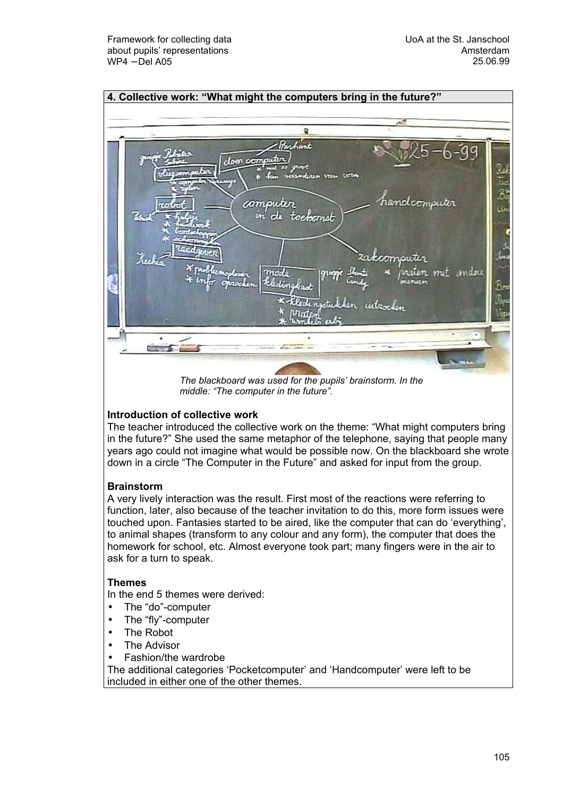

middle: "The computer in the future".

### Introduction of collective work

The teacher introduced the collective work on the theme: "What might computers bring in the future?" She used the same metaphor of the telephone, saying that people many years ago could not imagine what would be possible now. On the blackboard she wrote down in a circle "The Computer in the Future" and asked for input from the group.

### **Brainstorm**

A very lively interaction was the result. First most of the reactions were referring to function, later, also because of the teacher invitation to do this, more form issues were touched upon. Fantasies started to be aired, like the computer that can do 'everything', to animal shapes (transform to any colour and any form), the computer that does the homework for school, etc. Almost everyone took part; many fingers were in the air to ask for a turn to speak.

### Themes

In the end 5 themes were derived:

- The "do"-computer
- The "fly"-computer
- The Robot
- **The Advisor**
- Fashion/the wardrobe

The additional categories 'Pocketcomputer' and 'Handcomputer' were left to be included in either one of the other themes.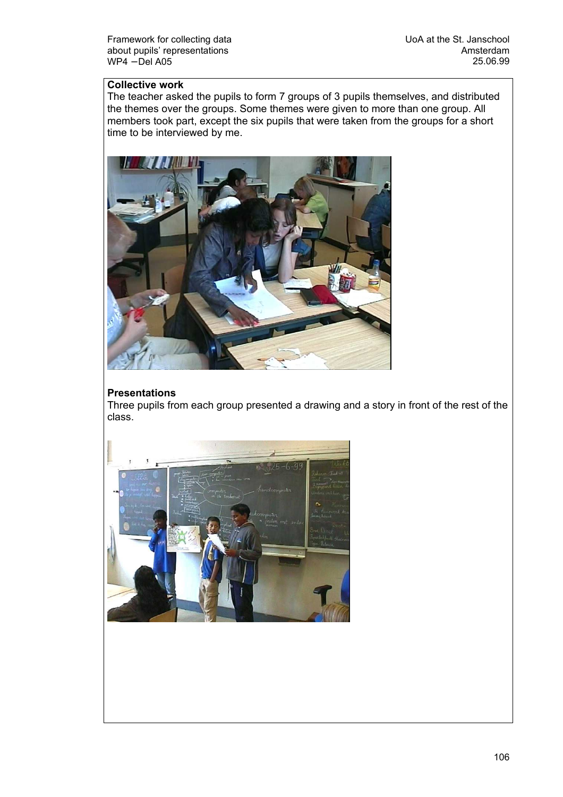# Collective work

The teacher asked the pupils to form 7 groups of 3 pupils themselves, and distributed the themes over the groups. Some themes were given to more than one group. All members took part, except the six pupils that were taken from the groups for a short time to be interviewed by me.



## Presentations

Three pupils from each group presented a drawing and a story in front of the rest of the class.

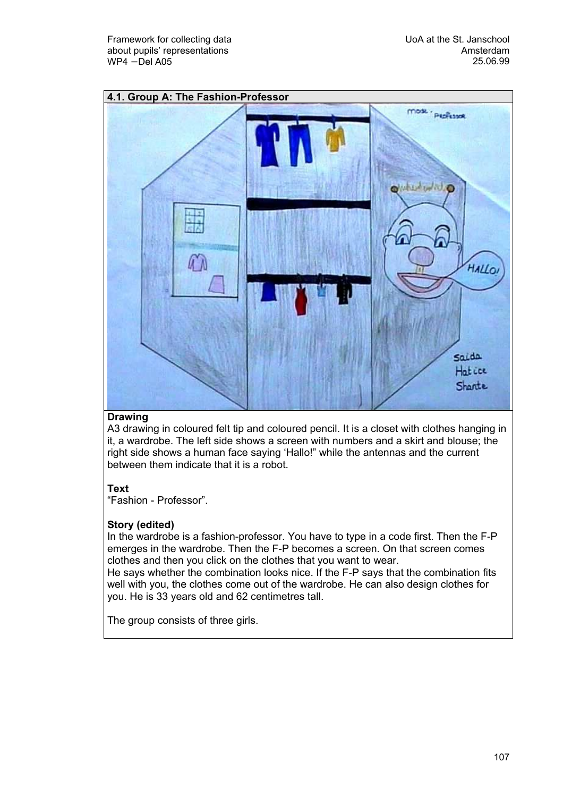

### Drawing

A3 drawing in coloured felt tip and coloured pencil. It is a closet with clothes hanging in it, a wardrobe. The left side shows a screen with numbers and a skirt and blouse; the right side shows a human face saying 'Hallo!" while the antennas and the current between them indicate that it is a robot.

#### Text

"Fashion - Professor".

### Story (edited)

In the wardrobe is a fashion-professor. You have to type in a code first. Then the F-P emerges in the wardrobe. Then the F-P becomes a screen. On that screen comes clothes and then you click on the clothes that you want to wear.

He says whether the combination looks nice. If the F-P says that the combination fits well with you, the clothes come out of the wardrobe. He can also design clothes for you. He is 33 years old and 62 centimetres tall.

The group consists of three girls.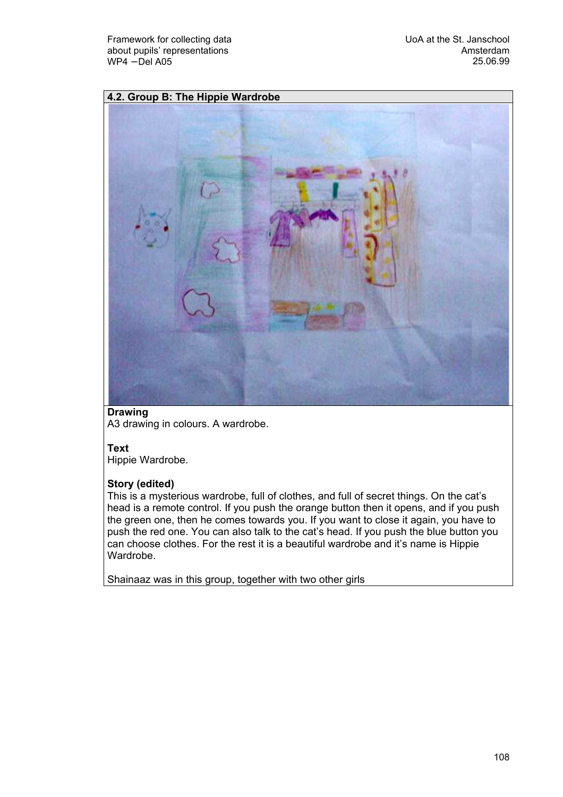

#### Drawing

A3 drawing in colours. A wardrobe.

Text

Hippie Wardrobe.

### Story (edited)

This is a mysterious wardrobe, full of clothes, and full of secret things. On the cat's head is a remote control. If you push the orange button then it opens, and if you push the green one, then he comes towards you. If you want to close it again, you have to push the red one. You can also talk to the cat's head. If you push the blue button you can choose clothes. For the rest it is a beautiful wardrobe and it's name is Hippie **Wardrobe** 

Shainaaz was in this group, together with two other girls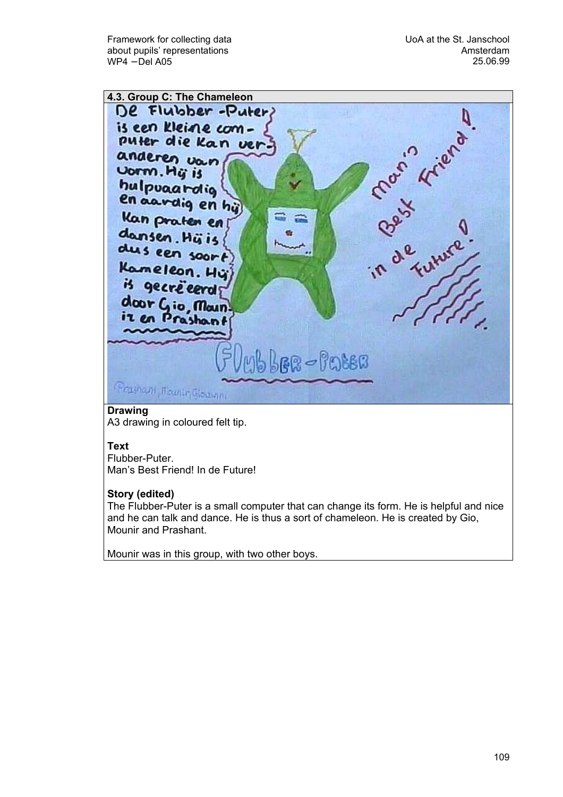

## Drawing

A3 drawing in coloured felt tip.

### **Text**

Flubber-Puter. Man's Best Friend! In de Future!

#### Story (edited)

The Flubber-Puter is a small computer that can change its form. He is helpful and nice and he can talk and dance. He is thus a sort of chameleon. He is created by Gio, Mounir and Prashant.

Mounir was in this group, with two other boys.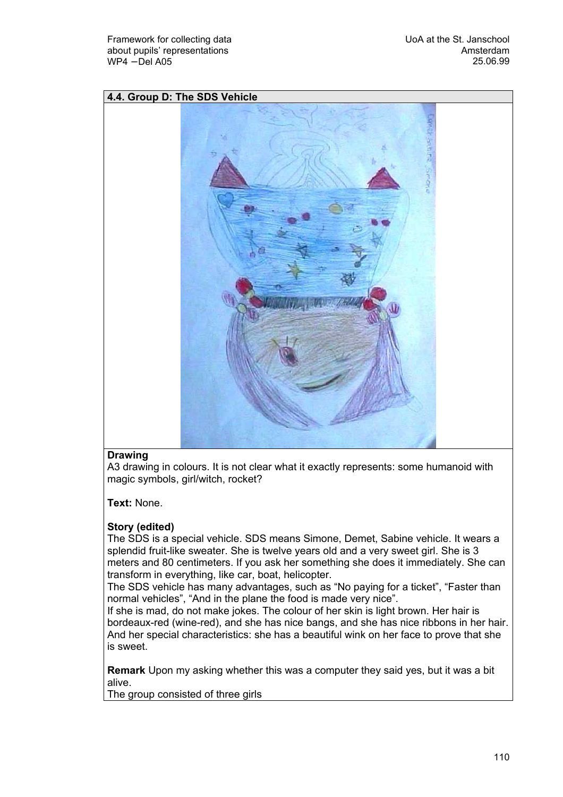

### **Drawing**

A3 drawing in colours. It is not clear what it exactly represents: some humanoid with magic symbols, girl/witch, rocket?

Text: None.

### Story (edited)

The SDS is a special vehicle. SDS means Simone, Demet, Sabine vehicle. It wears a splendid fruit-like sweater. She is twelve years old and a very sweet girl. She is 3 meters and 80 centimeters. If you ask her something she does it immediately. She can transform in everything, like car, boat, helicopter.

The SDS vehicle has many advantages, such as "No paying for a ticket", "Faster than normal vehicles", "And in the plane the food is made very nice".

If she is mad, do not make jokes. The colour of her skin is light brown. Her hair is bordeaux-red (wine-red), and she has nice bangs, and she has nice ribbons in her hair. And her special characteristics: she has a beautiful wink on her face to prove that she is sweet.

Remark Upon my asking whether this was a computer they said yes, but it was a bit alive.

The group consisted of three girls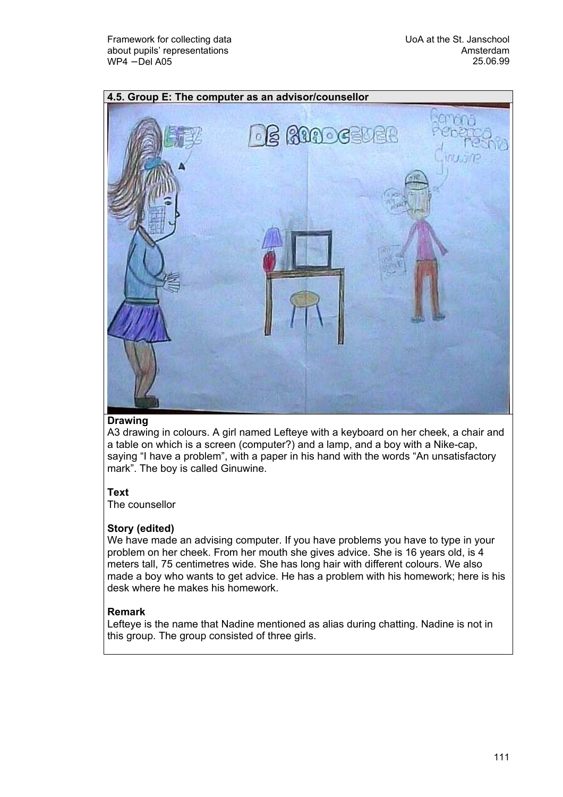

### Drawing

A3 drawing in colours. A girl named Lefteye with a keyboard on her cheek, a chair and a table on which is a screen (computer?) and a lamp, and a boy with a Nike-cap, saying "I have a problem", with a paper in his hand with the words "An unsatisfactory mark". The boy is called Ginuwine.

### Text

The counsellor

### Story (edited)

We have made an advising computer. If you have problems you have to type in your problem on her cheek. From her mouth she gives advice. She is 16 years old, is 4 meters tall, 75 centimetres wide. She has long hair with different colours. We also made a boy who wants to get advice. He has a problem with his homework; here is his desk where he makes his homework.

## Remark

Lefteye is the name that Nadine mentioned as alias during chatting. Nadine is not in this group. The group consisted of three girls.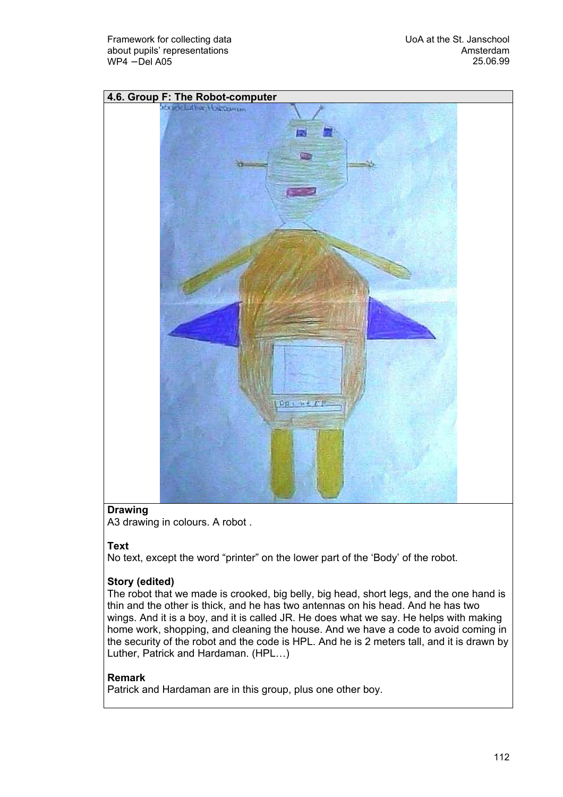

### Drawing

A3 drawing in colours. A robot .

## Text

No text, except the word "printer" on the lower part of the 'Body' of the robot.

### Story (edited)

The robot that we made is crooked, big belly, big head, short legs, and the one hand is thin and the other is thick, and he has two antennas on his head. And he has two wings. And it is a boy, and it is called JR. He does what we say. He helps with making home work, shopping, and cleaning the house. And we have a code to avoid coming in the security of the robot and the code is HPL. And he is 2 meters tall, and it is drawn by Luther, Patrick and Hardaman. (HPL…)

## Remark

Patrick and Hardaman are in this group, plus one other boy.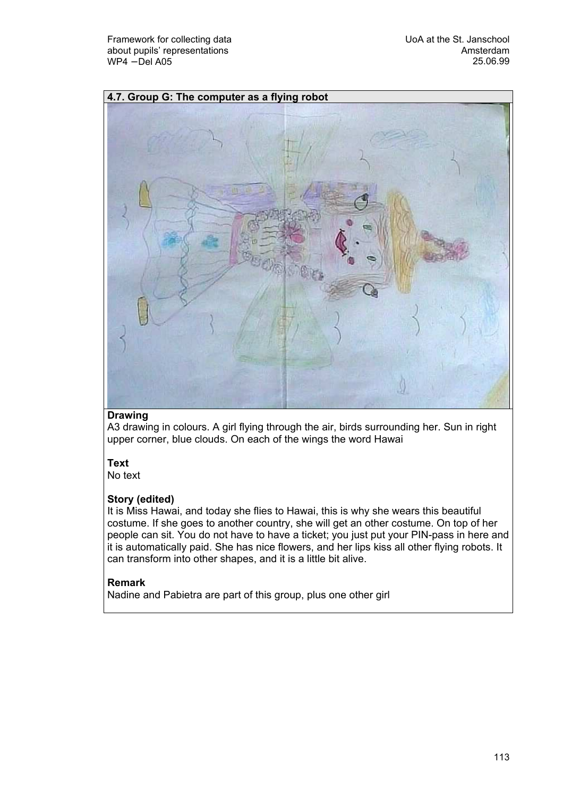

#### **Drawing**

A3 drawing in colours. A girl flying through the air, birds surrounding her. Sun in right upper corner, blue clouds. On each of the wings the word Hawai

#### Text

No text

#### Story (edited)

It is Miss Hawai, and today she flies to Hawai, this is why she wears this beautiful costume. If she goes to another country, she will get an other costume. On top of her people can sit. You do not have to have a ticket; you just put your PIN-pass in here and it is automatically paid. She has nice flowers, and her lips kiss all other flying robots. It can transform into other shapes, and it is a little bit alive.

#### Remark

Nadine and Pabietra are part of this group, plus one other girl